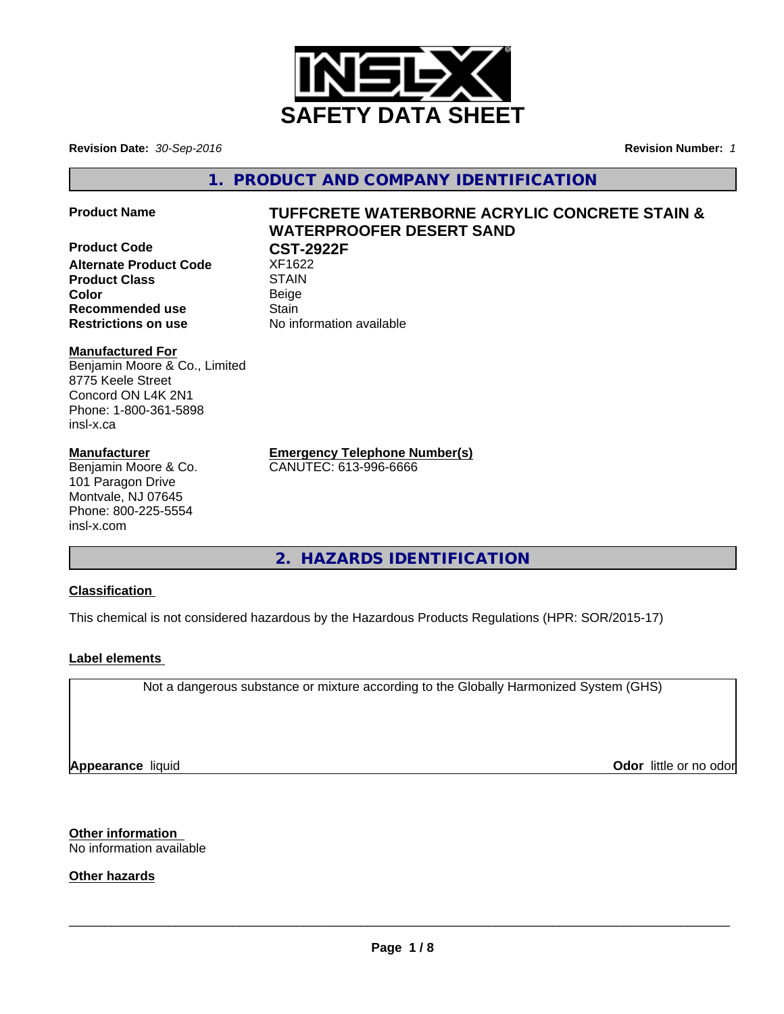

**Revision Date:** *30-Sep-2016* **Revision Number:** *1*

**1. PRODUCT AND COMPANY IDENTIFICATION**

**Product Code CST-2922F Alternate Product Code** XF1622 **Product Class STAIN Color** Beige **Recommended use Stain** 

**Product Name TUFFCRETE WATERBORNE ACRYLIC CONCRETE STAIN & WATERPROOFER DESERT SAND**

**Restrictions on use** No information available

#### **Manufactured For**

Benjamin Moore & Co., Limited 8775 Keele Street Concord ON L4K 2N1 Phone: 1-800-361-5898 insl-x.ca

#### **Manufacturer**

Benjamin Moore & Co. 101 Paragon Drive Montvale, NJ 07645 Phone: 800-225-5554 insl-x.com

**Emergency Telephone Number(s)**

CANUTEC: 613-996-6666

**2. HAZARDS IDENTIFICATION**

#### **Classification**

This chemical is not considered hazardous by the Hazardous Products Regulations (HPR: SOR/2015-17)

#### **Label elements**

Not a dangerous substance or mixture according to the Globally Harmonized System (GHS)

**Appearance** liquid

**Odor** little or no odor

**Other information** No information available

**Other hazards**

 $\overline{\phantom{a}}$  ,  $\overline{\phantom{a}}$  ,  $\overline{\phantom{a}}$  ,  $\overline{\phantom{a}}$  ,  $\overline{\phantom{a}}$  ,  $\overline{\phantom{a}}$  ,  $\overline{\phantom{a}}$  ,  $\overline{\phantom{a}}$  ,  $\overline{\phantom{a}}$  ,  $\overline{\phantom{a}}$  ,  $\overline{\phantom{a}}$  ,  $\overline{\phantom{a}}$  ,  $\overline{\phantom{a}}$  ,  $\overline{\phantom{a}}$  ,  $\overline{\phantom{a}}$  ,  $\overline{\phantom{a}}$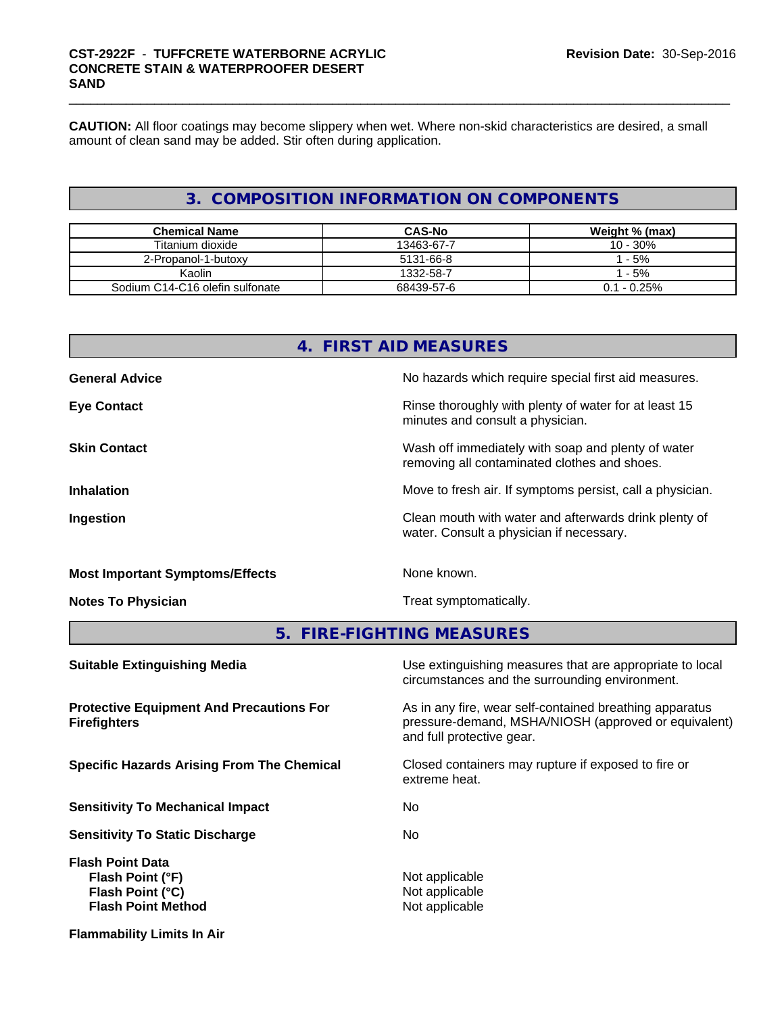## \_\_\_\_\_\_\_\_\_\_\_\_\_\_\_\_\_\_\_\_\_\_\_\_\_\_\_\_\_\_\_\_\_\_\_\_\_\_\_\_\_\_\_\_\_\_\_\_\_\_\_\_\_\_\_\_\_\_\_\_\_\_\_\_\_\_\_\_\_\_\_\_\_\_\_\_\_\_\_\_\_\_\_\_\_\_\_\_\_\_\_\_\_ **CST-2922F** - **TUFFCRETE WATERBORNE ACRYLIC CONCRETE STAIN & WATERPROOFER DESERT SAND**

**CAUTION:** All floor coatings may become slippery when wet. Where non-skid characteristics are desired, a small amount of clean sand may be added. Stir often during application.

### **3. COMPOSITION INFORMATION ON COMPONENTS**

| <b>Chemical Name</b>            | <b>CAS-No</b> | Weight % (max) |
|---------------------------------|---------------|----------------|
| Titanium dioxide                | 13463-67-7    | 10 - 30%       |
| 2-Propanol-1-butoxy             | 5131-66-8     | - 5%           |
| Kaolin                          | 1332-58-7     | - 5%           |
| Sodium C14-C16 olefin sulfonate | 68439-57-6    | $0.1 - 0.25\%$ |

| 4 <sub>1</sub>                                                         | <b>FIRST AID MEASURES</b>                                                                                                                    |  |
|------------------------------------------------------------------------|----------------------------------------------------------------------------------------------------------------------------------------------|--|
| <b>General Advice</b>                                                  | No hazards which require special first aid measures.                                                                                         |  |
| <b>Eye Contact</b>                                                     | Rinse thoroughly with plenty of water for at least 15<br>minutes and consult a physician.                                                    |  |
| <b>Skin Contact</b>                                                    | Wash off immediately with soap and plenty of water<br>removing all contaminated clothes and shoes.                                           |  |
| <b>Inhalation</b>                                                      | Move to fresh air. If symptoms persist, call a physician.                                                                                    |  |
| Ingestion                                                              | Clean mouth with water and afterwards drink plenty of<br>water. Consult a physician if necessary.                                            |  |
| <b>Most Important Symptoms/Effects</b>                                 | None known.<br>Treat symptomatically.                                                                                                        |  |
| <b>Notes To Physician</b>                                              |                                                                                                                                              |  |
|                                                                        | 5. FIRE-FIGHTING MEASURES                                                                                                                    |  |
| <b>Suitable Extinguishing Media</b>                                    | Use extinguishing measures that are appropriate to local<br>circumstances and the surrounding environment.                                   |  |
| <b>Protective Equipment And Precautions For</b><br><b>Firefighters</b> | As in any fire, wear self-contained breathing apparatus<br>pressure-demand, MSHA/NIOSH (approved or equivalent)<br>and full protective gear. |  |
| <b>Specific Hazards Arising From The Chemical</b>                      | Closed containers may rupture if exposed to fire or<br>extreme heat.                                                                         |  |
| <b>Sensitivity To Mechanical Impact</b>                                | No.                                                                                                                                          |  |
| <b>Sensitivity To Static Discharge</b>                                 | No.                                                                                                                                          |  |

**Flash Point Data Flash Point (°F)**<br> **Flash Point (°C)**<br> **Flash Point (°C)**<br> **Not** applicable **Flash Point (°C)**<br> **Flash Point Method**<br> **Flash Point Method**<br> **Point Algebra Flash Point Method** 

**Flammability Limits In Air**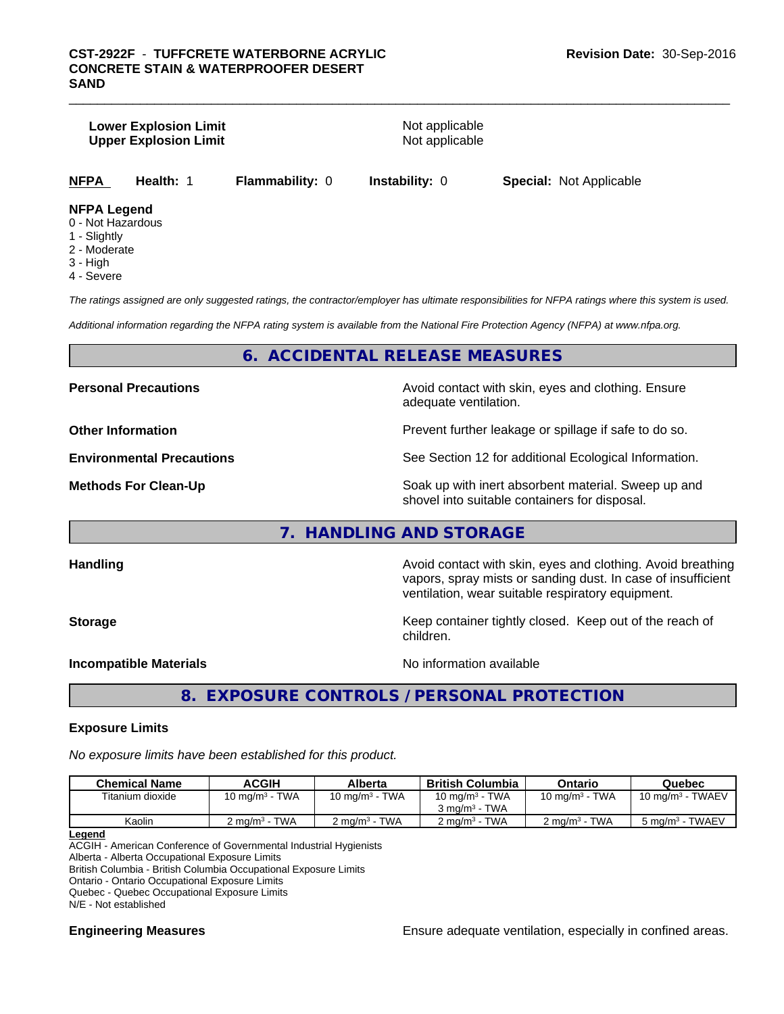#### **Lower Explosion Limit Not applicable** Not applicable **Upper Explosion Limit** Not applicable

| <b>NFPA</b> | <b>Health: 1</b> | <b>Flammability: 0</b> | <b>Instability: 0</b> | <b>Special: Not Applicable</b> |
|-------------|------------------|------------------------|-----------------------|--------------------------------|
|-------------|------------------|------------------------|-----------------------|--------------------------------|

#### **NFPA Legend**

- 0 Not Hazardous
- 1 Slightly
- 2 Moderate
- 3 High
- 4 Severe

*The ratings assigned are only suggested ratings, the contractor/employer has ultimate responsibilities for NFPA ratings where this system is used.*

*Additional information regarding the NFPA rating system is available from the National Fire Protection Agency (NFPA) at www.nfpa.org.*

#### **6. ACCIDENTAL RELEASE MEASURES**

**Personal Precautions Precautions** Avoid contact with skin, eyes and clothing. Ensure adequate ventilation.

**Other Information Discription Prevent further leakage or spillage if safe to do so.** 

**Environmental Precautions** See Section 12 for additional Ecological Information.

**Methods For Clean-Up Soak** up with inert absorbent material. Sweep up and shovel into suitable containers for disposal.

#### **7. HANDLING AND STORAGE**

**Handling Handling Avoid contact with skin, eyes and clothing. Avoid breathing H** vapors, spray mists or sanding dust. In case of insufficient ventilation, wear suitable respiratory equipment.

**Storage** Storage **Keep container tightly closed.** Keep out of the reach of children.

**Incompatible Materials No information available** 

**8. EXPOSURE CONTROLS / PERSONAL PROTECTION**

#### **Exposure Limits**

*No exposure limits have been established for this product.*

| <b>Chemical Name</b> | ACGIH                     | Alberta                  | <b>British Columbia</b>  | Ontario                     | Quebec                      |
|----------------------|---------------------------|--------------------------|--------------------------|-----------------------------|-----------------------------|
| Titanium dioxide     | $10 \text{ mg/m}^3$ - TWA | 10 mg/m $3$ - TWA        | 10 mg/m $3$ - TWA        | 10 mg/m $3$ - TWA           | $10 \text{ mg/m}^3$ - TWAEV |
|                      |                           |                          | $3 \text{ ma/m}^3$ - TWA |                             |                             |
| Kaolin               | $2 \text{ ma/m}^3$ - TWA  | $2 \text{ ma/m}^3$ - TWA | $2 \text{ ma/m}^3$ - TWA | TWA<br>$2 \text{ ma/m}^3 -$ | 5 mg/m <sup>3</sup> - TWAEV |

#### **Legend**

ACGIH - American Conference of Governmental Industrial Hygienists

Alberta - Alberta Occupational Exposure Limits

British Columbia - British Columbia Occupational Exposure Limits

Ontario - Ontario Occupational Exposure Limits Quebec - Quebec Occupational Exposure Limits

N/E - Not established

**Engineering Measures Ensure** Ensure adequate ventilation, especially in confined areas.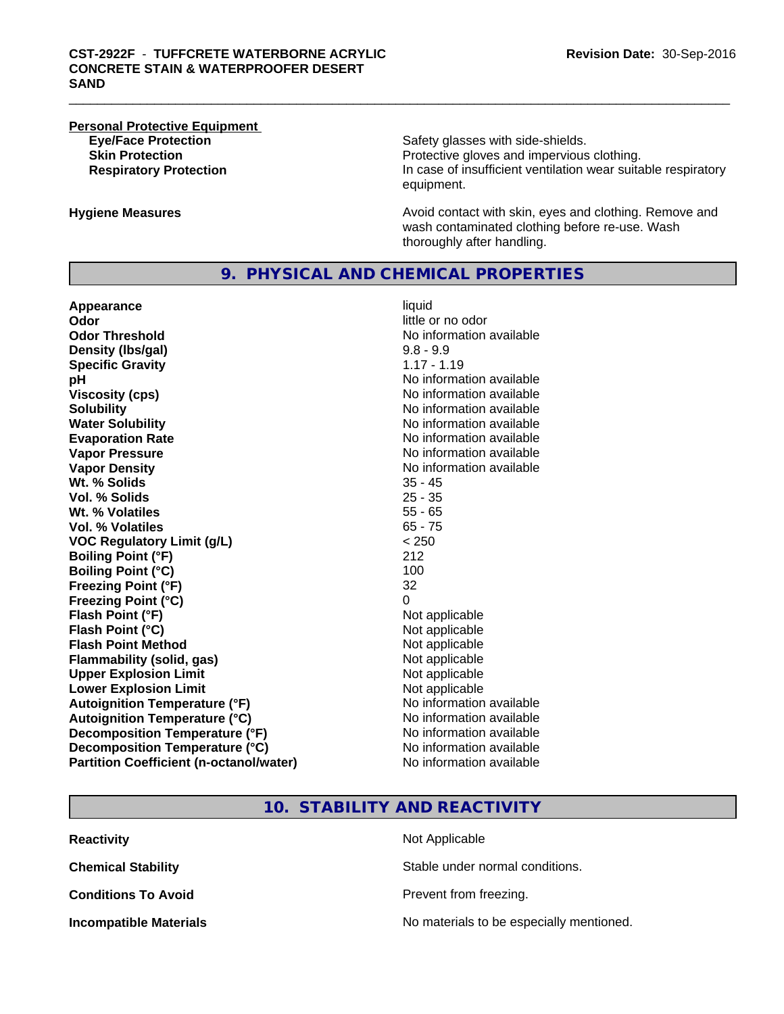# **Personal Protective Equipment**

**Eye/Face Protection** Safety glasses with side-shields. **Skin Protection Protection Protective gloves and impervious clothing. Respiratory Protection In case of insufficient ventilation wear suitable respiratory** equipment.

**Hygiene Measures Avoid contact with skin, eyes and clothing. Remove and Avoid contact with skin, eyes and clothing. Remove and Avoid contact with skin, eyes and clothing. Remove and** wash contaminated clothing before re-use. Wash thoroughly after handling.

#### **9. PHYSICAL AND CHEMICAL PROPERTIES**

**Appearance** liquid **Odor**<br> **Odor Threshold**<br> **Odor Threshold CODOR CODOR CODOR CODOR CODOR CODOR CODOR CODOR CODOR CODOR CODOR CODOR CODOR CODOR Density (Ibs/gal)** 9.8 - 9.9<br> **Specific Gravity** 1.17 - 1.19 **Specific Gravity**<br>pH **Viscosity (cps)** No information available **Solubility**<br> **No** information available<br> **Water Solubility**<br> **No** information available **Evaporation Rate Evaporation Rate No information available Vapor Pressure** No information available **Vapor Density No information available No information available Wt. % Solids** 35 - 45 **Vol. % Solids Wt. % Volatiles** 55 - 65 **Vol. % Volatiles** 65 - 75 **VOC Regulatory Limit (g/L)** < 250 **Boiling Point (°F)** 212 **Boiling Point (°C)** 100 **Freezing Point (°F)** 32 **Freezing Point (°C)** 0 **Flash Point (°F)** Not applicable **Flash Point (°C)** Not applicable **Flash Point Method** Not applicable **Flammability (solid, gas)** Not applicable **Upper Explosion Limit** Not applicable **Lower Explosion Limit Contract Accord Accord Accord Accord Accord Accord Accord Accord Accord Accord Accord Accord Accord Accord Accord Accord Accord Accord Accord Accord Accord Accord Accord Accord Accord Accord Accord Autoignition Temperature (°F)**<br> **Autoignition Temperature (°C)** No information available **Autoignition Temperature (°C) Decomposition Temperature (°F)** No information available **Decomposition Temperature (°C)** No information available **Partition Coefficient (n-octanol/water)** No information available

**No information available No information available No information available** 

#### **10. STABILITY AND REACTIVITY**

| <b>Reactivity</b>             | Not Applicable                           |
|-------------------------------|------------------------------------------|
| <b>Chemical Stability</b>     | Stable under normal conditions.          |
| <b>Conditions To Avoid</b>    | Prevent from freezing.                   |
| <b>Incompatible Materials</b> | No materials to be especially mentioned. |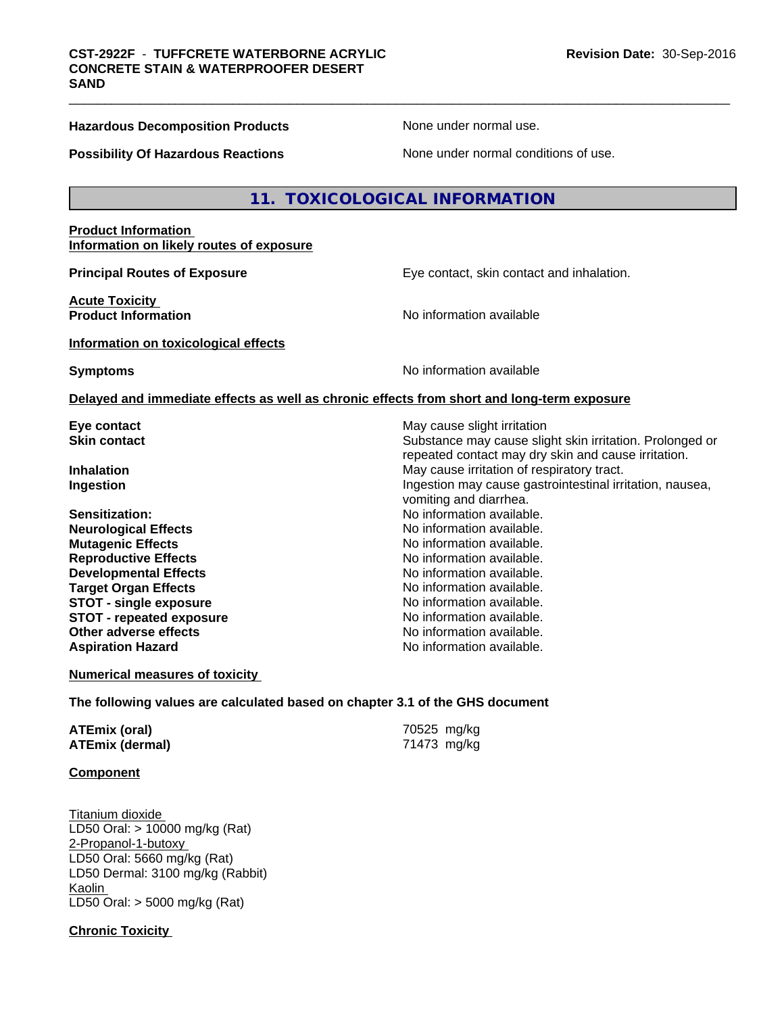#### **Hazardous Decomposition Products** None under normal use.

**Possibility Of Hazardous Reactions** None under normal conditions of use.

#### **11. TOXICOLOGICAL INFORMATION**

#### **Product Information Information on likely routes of exposure**

**Principal Routes of Exposure Exposure** Eye contact, skin contact and inhalation.

**Acute Toxicity Product Information Information No information available** 

**Information on toxicological effects**

**Symptoms** No information available

#### **Delayed and immediate effects as well as chronic effects from short and long-term exposure**

- 
- **Sensitization:** No information available. **Neurological Effects** Noinformation available. **Mutagenic Effects No information available. Reproductive Effects No information available.** No information available. **Developmental Effects No information available. Target Organ Effects No information available. STOT** - single exposure **No information available. STOT** - **repeated exposure** No information available. **Other adverse effects** Noinformation available. **Aspiration Hazard No information available.**

**Eye contact Exercise Solution Exercise Solution May cause slight irritation Skin contact** Substance may cause slight skin irritation. Prolonged or repeated contact may dry skin and cause irritation. **Inhalation** May cause irritation of respiratory tract. **Ingestion Ingestion Ingestion Ingestion Ingestion may cause gastrointestinal irritation**, nausea, vomiting and diarrhea.

**Numerical measures of toxicity**

**The following values are calculated based on chapter 3.1 of the GHS document**

| ATEmix (oral)          | 70525 mg/kg |
|------------------------|-------------|
| <b>ATEmix (dermal)</b> | 71473 mg/kg |

#### **Component**

Titanium dioxide LD50 Oral: > 10000 mg/kg (Rat) 2-Propanol-1-butoxy LD50 Oral: 5660 mg/kg (Rat) LD50 Dermal: 3100 mg/kg (Rabbit) Kaolin LD50 Oral: > 5000 mg/kg (Rat)

**Chronic Toxicity**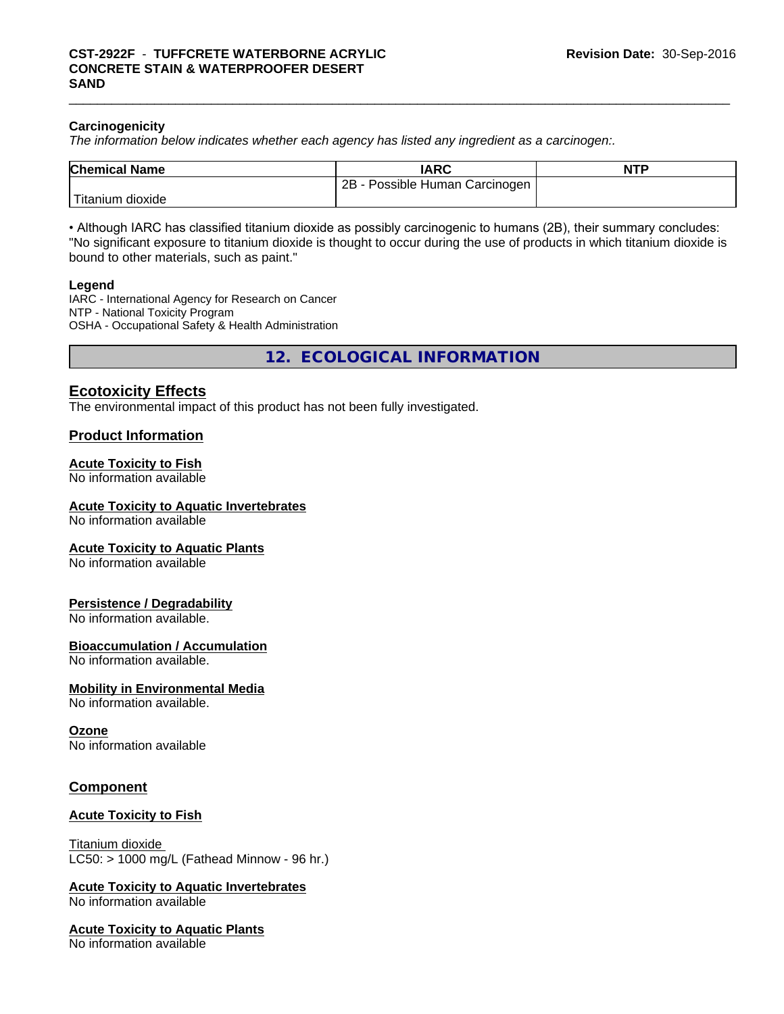#### **Carcinogenicity**

*The information below indicateswhether each agency has listed any ingredient as a carcinogen:.*

| <b>Chemical Name</b> | <b>IARC</b>                            | <b>NTP</b> |
|----------------------|----------------------------------------|------------|
|                      | 2Β<br>Possible Human ı<br>ı Carcinogen |            |
| dioxide<br>Fitanium  |                                        |            |

• Although IARC has classified titanium dioxide as possibly carcinogenic to humans (2B), their summary concludes: "No significant exposure to titanium dioxide is thought to occur during the use of products in which titanium dioxide is bound to other materials, such as paint."

#### **Legend**

IARC - International Agency for Research on Cancer NTP - National Toxicity Program OSHA - Occupational Safety & Health Administration

**12. ECOLOGICAL INFORMATION**

#### **Ecotoxicity Effects**

The environmental impact of this product has not been fully investigated.

#### **Product Information**

#### **Acute Toxicity to Fish**

No information available

#### **Acute Toxicity to Aquatic Invertebrates**

No information available

#### **Acute Toxicity to Aquatic Plants**

No information available

#### **Persistence / Degradability**

No information available.

#### **Bioaccumulation / Accumulation**

No information available.

#### **Mobility in Environmental Media**

No information available.

#### **Ozone**

No information available

#### **Component**

#### **Acute Toxicity to Fish**

Titanium dioxide  $LCS0:$  > 1000 mg/L (Fathead Minnow - 96 hr.)

# **Acute Toxicity to Aquatic Invertebrates**

No information available

#### **Acute Toxicity to Aquatic Plants**

No information available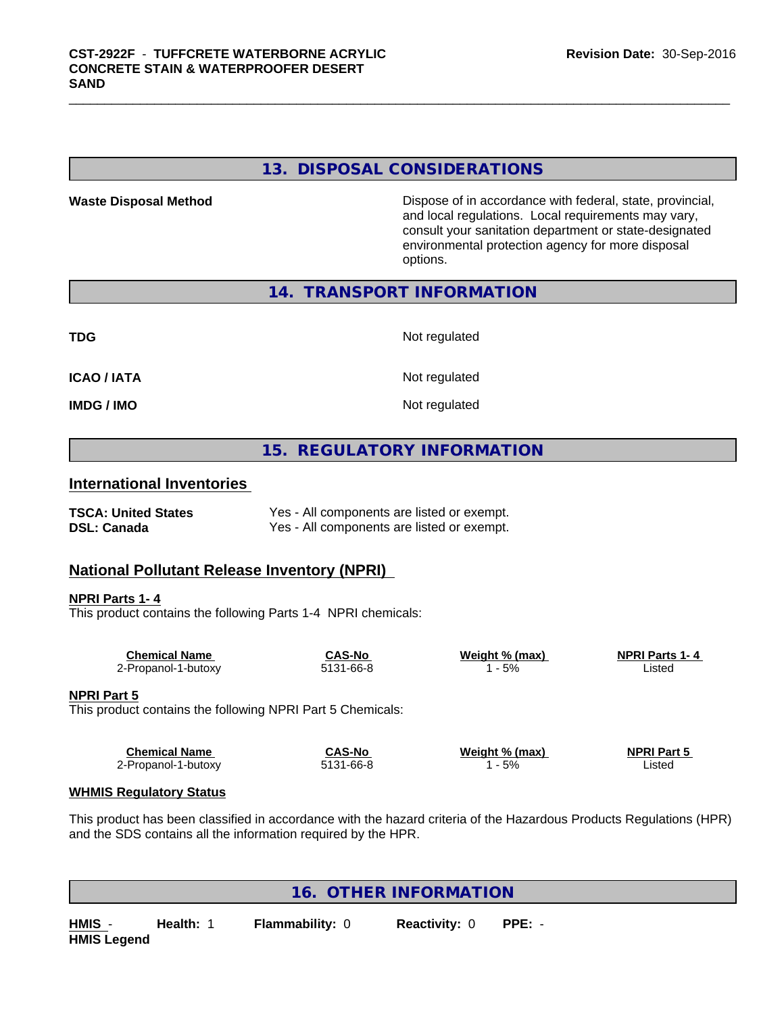#### **13. DISPOSAL CONSIDERATIONS**

**Waste Disposal Method Dispose of in accordance with federal, state, provincial,** and local regulations. Local requirements may vary, consult your sanitation department or state-designated environmental protection agency for more disposal options.

#### **14. TRANSPORT INFORMATION**

| TDG         | Not regulated |
|-------------|---------------|
| ICAO / IATA | Not regulated |
| IMDG / IMO  | Not regulated |

#### **15. REGULATORY INFORMATION**

#### **International Inventories**

| <b>TSCA: United States</b> | Yes - All components are listed or exempt. |
|----------------------------|--------------------------------------------|
| <b>DSL: Canada</b>         | Yes - All components are listed or exempt. |

#### **National Pollutant Release Inventory (NPRI)**

# **NPRI Parts 1- 4**

This product contains the following Parts 1-4 NPRI chemicals:

| <b>Chemical Name</b> | CAS-No    | Weight % (max) | <b>NPRI Parts 1-4</b> |  |
|----------------------|-----------|----------------|-----------------------|--|
| 2-Propanol-1-butoxy  | 5131-66-8 | 5%             | Listed                |  |

#### **NPRI Part 5**

This product contains the following NPRI Part 5 Chemicals:

| <b>Chemical Name</b> | CAS-No    | Weight % (max) | <b>NPRI Part 5</b> |  |
|----------------------|-----------|----------------|--------------------|--|
| 2-Propanol-1-butoxy  | 5131-66-8 | $-5%$          | ∟isted             |  |

#### **WHMIS Regulatory Status**

This product has been classified in accordance with the hazard criteria of the Hazardous Products Regulations (HPR) and the SDS contains all the information required by the HPR.

**16. OTHER INFORMATION**

**HMIS** - **Health:** 1 **Flammability:** 0 **Reactivity:** 0 **PPE:** - **HMIS Legend**